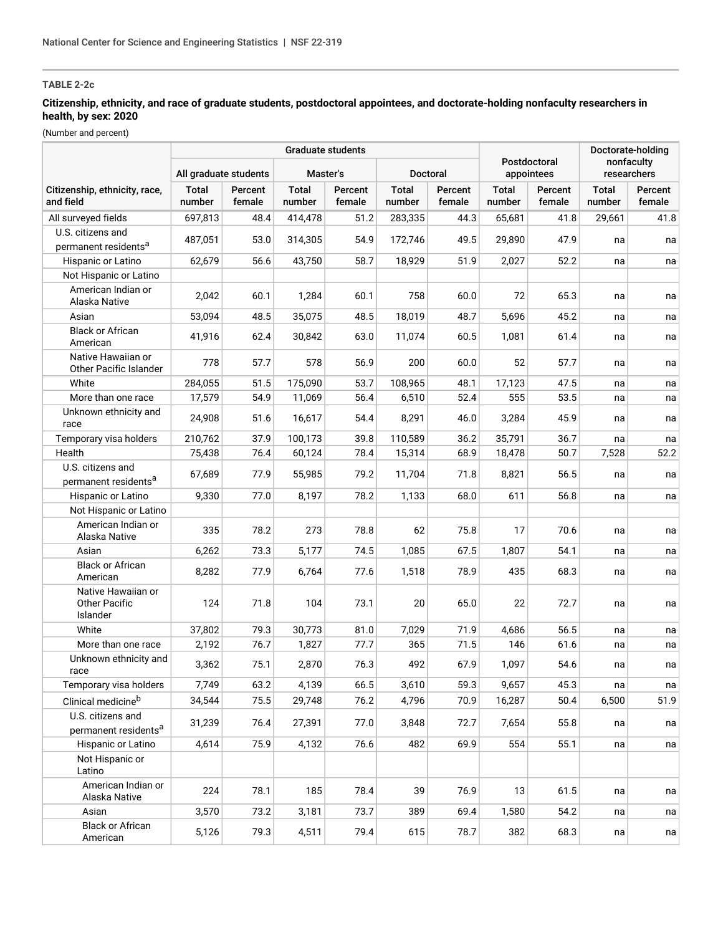# **TABLE 2-2c**

### **Citizenship, ethnicity, and race of graduate students, postdoctoral appointees, and doctorate-holding nonfaculty researchers in health, by sex: 2020**

(Number and percent)

|                                                        | Graduate students      |                   |                 |                   |                        |                   |                            |                   |                           | Doctorate-holding |  |
|--------------------------------------------------------|------------------------|-------------------|-----------------|-------------------|------------------------|-------------------|----------------------------|-------------------|---------------------------|-------------------|--|
|                                                        | All graduate students  |                   | Master's        |                   | Doctoral               |                   | Postdoctoral<br>appointees |                   | nonfaculty<br>researchers |                   |  |
| Citizenship, ethnicity, race,<br>and field             | <b>Total</b><br>number | Percent<br>female | Total<br>number | Percent<br>female | <b>Total</b><br>number | Percent<br>female | <b>Total</b><br>number     | Percent<br>female | Total<br>number           | Percent<br>female |  |
| All surveyed fields                                    | 697,813                | 48.4              | 414,478         | 51.2              | 283,335                | 44.3              | 65,681                     | 41.8              | 29,661                    | 41.8              |  |
| U.S. citizens and                                      | 487,051                | 53.0              | 314,305         | 54.9              | 172,746                | 49.5              | 29,890                     | 47.9              | na                        | na                |  |
| permanent residents <sup>a</sup>                       |                        |                   |                 |                   |                        |                   |                            |                   |                           |                   |  |
| Hispanic or Latino                                     | 62,679                 | 56.6              | 43,750          | 58.7              | 18,929                 | 51.9              | 2,027                      | 52.2              | na                        | na                |  |
| Not Hispanic or Latino                                 |                        |                   |                 |                   |                        |                   |                            |                   |                           |                   |  |
| American Indian or<br>Alaska Native                    | 2,042                  | 60.1              | 1,284           | 60.1              | 758                    | 60.0              | 72                         | 65.3              | na                        | na                |  |
| Asian                                                  | 53,094                 | 48.5              | 35,075          | 48.5              | 18,019                 | 48.7              | 5,696                      | 45.2              | na                        | na                |  |
| <b>Black or African</b><br>American                    | 41,916                 | 62.4              | 30,842          | 63.0              | 11,074                 | 60.5              | 1,081                      | 61.4              | na                        | na                |  |
| Native Hawaiian or<br>Other Pacific Islander           | 778                    | 57.7              | 578             | 56.9              | 200                    | 60.0              | 52                         | 57.7              | na                        | na                |  |
| White                                                  | 284,055                | 51.5              | 175,090         | 53.7              | 108,965                | 48.1              | 17,123                     | 47.5              | na                        | na                |  |
| More than one race                                     | 17,579                 | 54.9              | 11,069          | 56.4              | 6,510                  | 52.4              | 555                        | 53.5              | na                        | na                |  |
| Unknown ethnicity and<br>race                          | 24,908                 | 51.6              | 16,617          | 54.4              | 8,291                  | 46.0              | 3,284                      | 45.9              | na                        | na                |  |
| Temporary visa holders                                 | 210,762                | 37.9              | 100,173         | 39.8              | 110,589                | 36.2              | 35,791                     | 36.7              | na                        | na                |  |
| Health                                                 | 75,438                 | 76.4              | 60,124          | 78.4              | 15,314                 | 68.9              | 18,478                     | 50.7              | 7,528                     | 52.2              |  |
| U.S. citizens and<br>permanent residents <sup>a</sup>  | 67,689                 | 77.9              | 55,985          | 79.2              | 11,704                 | 71.8              | 8,821                      | 56.5              | na                        | na                |  |
| Hispanic or Latino                                     | 9,330                  | 77.0              | 8,197           | 78.2              | 1,133                  | 68.0              | 611                        | 56.8              | na                        | na                |  |
| Not Hispanic or Latino                                 |                        |                   |                 |                   |                        |                   |                            |                   |                           |                   |  |
| American Indian or<br>Alaska Native                    | 335                    | 78.2              | 273             | 78.8              | 62                     | 75.8              | 17                         | 70.6              | na                        | na                |  |
| Asian                                                  | 6,262                  | 73.3              | 5,177           | 74.5              | 1,085                  | 67.5              | 1,807                      | 54.1              | na                        | na                |  |
| <b>Black or African</b><br>American                    | 8,282                  | 77.9              | 6,764           | 77.6              | 1,518                  | 78.9              | 435                        | 68.3              | na                        | na                |  |
| Native Hawaiian or<br><b>Other Pacific</b><br>Islander | 124                    | 71.8              | 104             | 73.1              | 20                     | 65.0              | 22                         | 72.7              | na                        | na                |  |
| White                                                  | 37,802                 | 79.3              | 30,773          | 81.0              | 7,029                  | 71.9              | 4,686                      | 56.5              | na                        | na                |  |
| More than one race                                     | 2,192                  | 76.7              | 1,827           | 77.7              | 365                    | 71.5              | 146                        | 61.6              | na                        | na                |  |
| Unknown ethnicity and<br>race                          | 3,362                  | 75.1              | 2,870           | 76.3              | 492                    | 67.9              | 1,097                      | 54.6              | na                        | na                |  |
| Temporary visa holders                                 | 7,749                  | 63.2              | 4,139           | 66.5              | 3,610                  | 59.3              | 9,657                      | 45.3              | na                        | na                |  |
| Clinical medicine <sup>b</sup>                         | 34,544                 | 75.5              | 29,748          | 76.2              | 4,796                  | 70.9              | 16,287                     | 50.4              | 6,500                     | 51.9              |  |
| U.S. citizens and<br>permanent residents <sup>a</sup>  | 31,239                 | 76.4              | 27,391          | 77.0              | 3,848                  | 72.7              | 7,654                      | 55.8              | na                        | na                |  |
| Hispanic or Latino                                     | 4,614                  | 75.9              | 4,132           | 76.6              | 482                    | 69.9              | 554                        | 55.1              | na                        | na                |  |
| Not Hispanic or<br>Latino                              |                        |                   |                 |                   |                        |                   |                            |                   |                           |                   |  |
| American Indian or<br>Alaska Native                    | 224                    | 78.1              | 185             | 78.4              | 39                     | 76.9              | 13                         | 61.5              | na                        | na                |  |
| Asian                                                  | 3,570                  | 73.2              | 3,181           | 73.7              | 389                    | 69.4              | 1,580                      | 54.2              | na                        | na                |  |
| <b>Black or African</b><br>American                    | 5,126                  | 79.3              | 4,511           | 79.4              | 615                    | 78.7              | 382                        | 68.3              | na                        | na                |  |